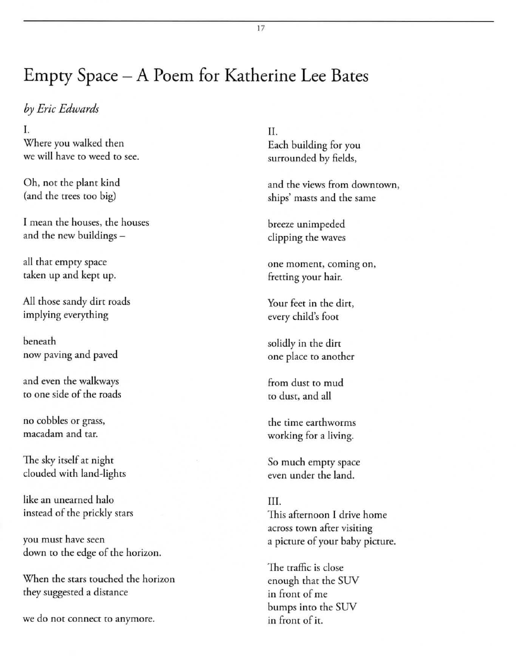## Empty Space - A Poem for Katherine Lee Bates

*by Eric Edwards* 

I. Where you walked then **we will have to weed to see.** 

Oh, not the plant kind (and the trees too big)

**I mean the houses. the houses**  and the new buildings-

all that empty space taken up and kept up.

All those sandy dirt roads implying everything

beneath **now paving and paved** 

**and even the walkways to one side of the roads** 

no cobbles or grass, **macadam and tar.** 

The sky itself at night clouded with land-lights

**like an unearned halo instead of the prickly Stars** 

**you must have seen**  down to the edge of the horizon.

When the stars touched the horizon they suggested a distance

we do not connect to anymore.

II. Each building for you surrounded by fields,

**and the views from downtown, ships' masts and rhe same** 

**breeze unimpeded**  clipping the waves

 $one$  moment, coming on, **fretting your hair.** 

**Your feet in rhe dirt,**  every child's foot

solidly in the dirt **o ne place to another** 

**from dust to mud**  to dust, and all

**the time earthworms**  working for a living.

50 much empty space **even under the land.** 

III. **This afternoon I drive home**  across town after visiting a **picrure of your baby picture.** 

**The traffic is close**  enough that the 5UV **in front of** *me*  bumps into the 5UV **in from of it.** 

17